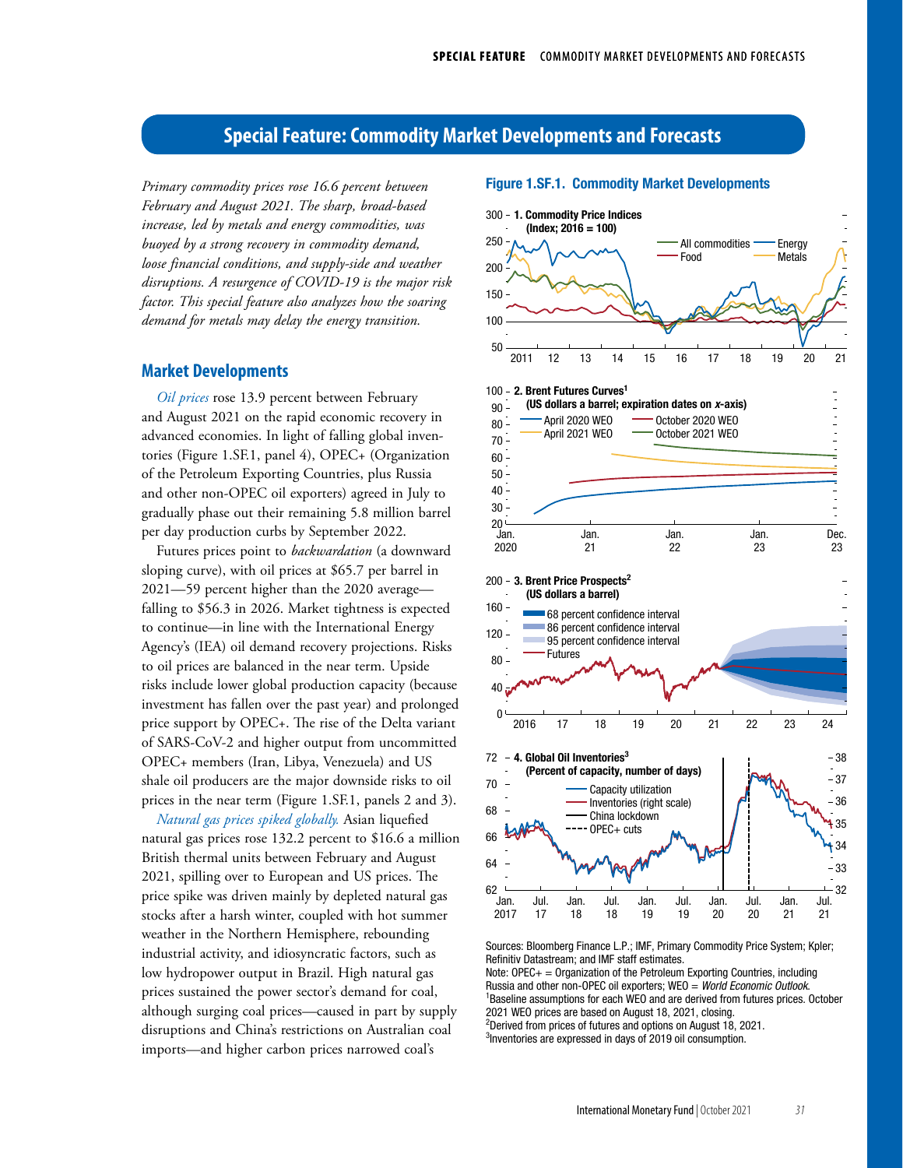# **Special Feature: Commodity Market Developments and Forecasts**

*Primary commodity prices rose 16.6 percent between February and August 2021. The sharp, broad-based increase, led by metals and energy commodities, was buoyed by a strong recovery in commodity demand, loose financial conditions, and supply-side and weather disruptions. A resurgence of COVID-19 is the major risk factor. This special feature also analyzes how the soaring demand for metals may delay the energy transition.*

### **Market Developments**

*Oil prices* rose 13.9 percent between February and August 2021 on the rapid economic recovery in advanced economies. In light of falling global inventories (Figure 1.SF.1, panel 4), OPEC+ (Organization of the Petroleum Exporting Countries, plus Russia and other non-OPEC oil exporters) agreed in July to gradually phase out their remaining 5.8 million barrel per day production curbs by September 2022.

Futures prices point to *backwardation* (a downward sloping curve), with oil prices at \$65.7 per barrel in 2021—59 percent higher than the 2020 average falling to \$56.3 in 2026. Market tightness is expected to continue—in line with the International Energy Agency's (IEA) oil demand recovery projections. Risks to oil prices are balanced in the near term. Upside risks include lower global production capacity (because investment has fallen over the past year) and prolonged price support by OPEC+. The rise of the Delta variant of SARS-CoV-2 and higher output from uncommitted OPEC+ members (Iran, Libya, Venezuela) and US shale oil producers are the major downside risks to oil prices in the near term (Figure 1.SF.1, panels 2 and 3).

*Natural gas prices spiked globally.* Asian liquefied natural gas prices rose 132.2 percent to \$16.6 a million British thermal units between February and August 2021, spilling over to European and US prices. The price spike was driven mainly by depleted natural gas stocks after a harsh winter, coupled with hot summer weather in the Northern Hemisphere, rebounding industrial activity, and idiosyncratic factors, such as low hydropower output in Brazil. High natural gas prices sustained the power sector's demand for coal, although surging coal prices—caused in part by supply disruptions and China's restrictions on Australian coal imports—and higher carbon prices narrowed coal's





Sources: Bloomberg Finance L.P.; IMF, Primary Commodity Price System; Kpler; Refinitiv Datastream; and IMF staff estimates.

Note: OPEC+ = Organization of the Petroleum Exporting Countries, including Russia and other non-OPEC oil exporters; WEO <sup>=</sup> *World Economic Outlook*. <sup>1</sup> <sup>1</sup>Baseline assumptions for each WEO and are derived from futures prices. October <sup>2021</sup> WEO prices are based on August 18, 2021, closing. <sup>2</sup> <sup>2</sup>Derived from prices of futures and options on August 18, 2021. <sup>3</sup> Inventories are expressed in days of 2019 oil consumption.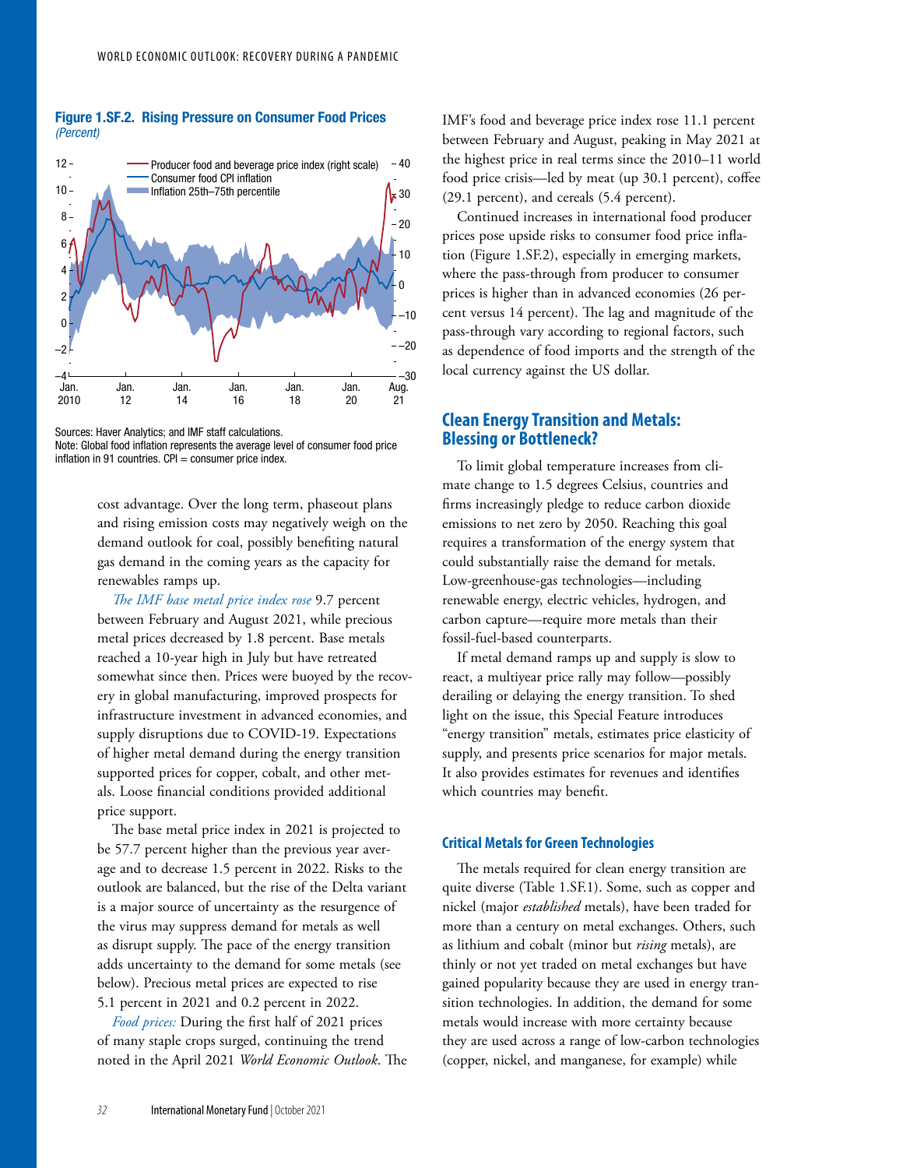



Sources: Haver Analytics; and IMF staff calculations. Note: Global food inflation represents the average level of consumer food price inflation in 91 countries.  $CPI = \text{consumer price index.}$ 

> cost advantage. Over the long term, phaseout plans and rising emission costs may negatively weigh on the demand outlook for coal, possibly benefiting natural gas demand in the coming years as the capacity for renewables ramps up.

*The IMF base metal price index rose* 9.7 percent between February and August 2021, while precious metal prices decreased by 1.8 percent. Base metals reached a 10-year high in July but have retreated somewhat since then. Prices were buoyed by the recovery in global manufacturing, improved prospects for infrastructure investment in advanced economies, and supply disruptions due to COVID-19. Expectations of higher metal demand during the energy transition supported prices for copper, cobalt, and other metals. Loose financial conditions provided additional price support.

The base metal price index in 2021 is projected to be 57.7 percent higher than the previous year average and to decrease 1.5 percent in 2022. Risks to the outlook are balanced, but the rise of the Delta variant is a major source of uncertainty as the resurgence of the virus may suppress demand for metals as well as disrupt supply. The pace of the energy transition adds uncertainty to the demand for some metals (see below). Precious metal prices are expected to rise 5.1 percent in 2021 and 0.2 percent in 2022.

*Food prices:* During the first half of 2021 prices of many staple crops surged, continuing the trend noted in the April 2021 *World Economic Outlook*. The IMF's food and beverage price index rose 11.1 percent between February and August, peaking in May 2021 at the highest price in real terms since the 2010–11 world food price crisis—led by meat (up 30.1 percent), coffee (29.1 percent), and cereals (5.4 percent).

Continued increases in international food producer prices pose upside risks to consumer food price inflation (Figure 1.SF.2), especially in emerging markets, where the pass-through from producer to consumer prices is higher than in advanced economies (26 percent versus 14 percent). The lag and magnitude of the pass-through vary according to regional factors, such as dependence of food imports and the strength of the local currency against the US dollar.

# **Clean Energy Transition and Metals: Blessing or Bottleneck?**

To limit global temperature increases from climate change to 1.5 degrees Celsius, countries and firms increasingly pledge to reduce carbon dioxide emissions to net zero by 2050. Reaching this goal requires a transformation of the energy system that could substantially raise the demand for metals. Low-greenhouse-gas technologies—including renewable energy, electric vehicles, hydrogen, and carbon capture—require more metals than their fossil-fuel-based counterparts.

If metal demand ramps up and supply is slow to react, a multiyear price rally may follow—possibly derailing or delaying the energy transition. To shed light on the issue, this Special Feature introduces "energy transition" metals, estimates price elasticity of supply, and presents price scenarios for major metals. It also provides estimates for revenues and identifies which countries may benefit.

### **Critical Metals for Green Technologies**

The metals required for clean energy transition are quite diverse (Table 1.SF.1). Some, such as copper and nickel (major *established* metals), have been traded for more than a century on metal exchanges. Others, such as lithium and cobalt (minor but *rising* metals), are thinly or not yet traded on metal exchanges but have gained popularity because they are used in energy transition technologies. In addition, the demand for some metals would increase with more certainty because they are used across a range of low-carbon technologies (copper, nickel, and manganese, for example) while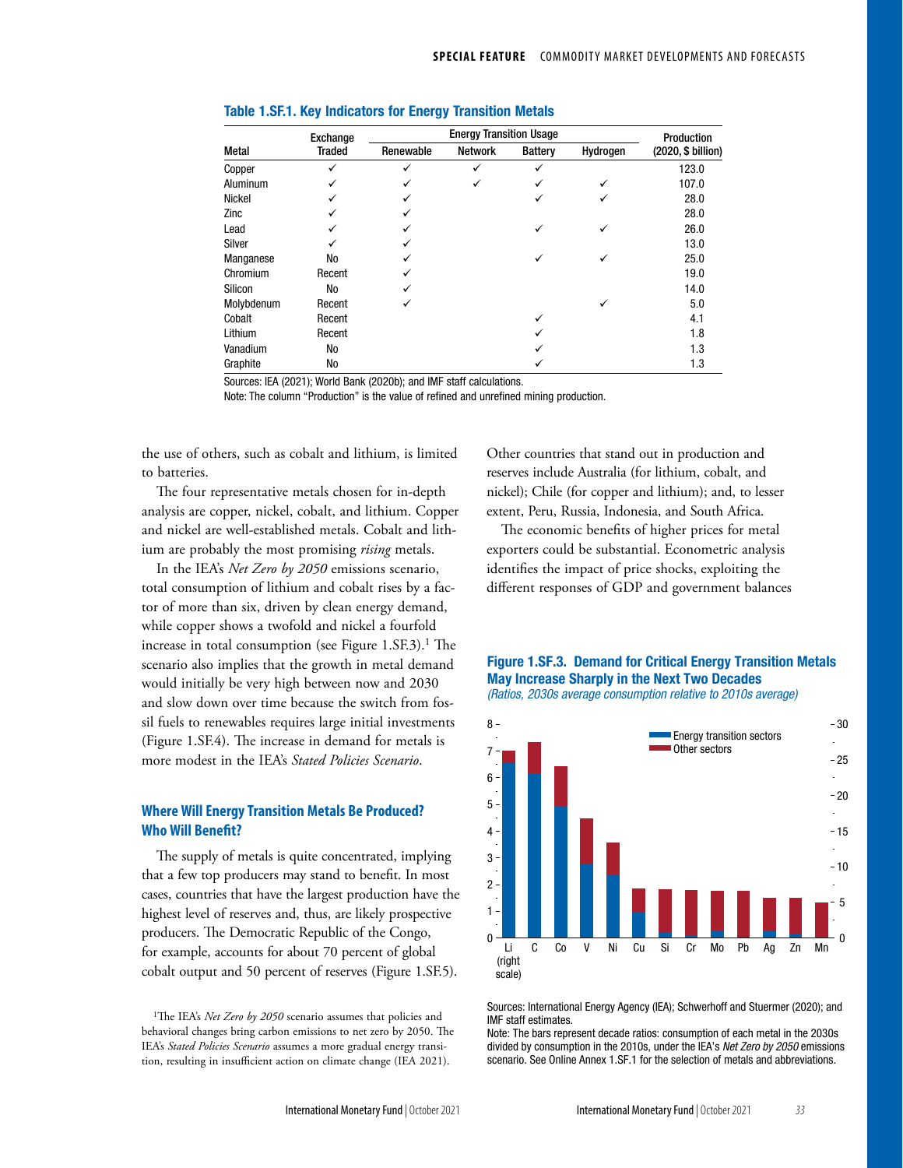| Metal         | Exchange<br><b>Traded</b> | <b>Energy Transition Usage</b> |                |                |          | Production         |
|---------------|---------------------------|--------------------------------|----------------|----------------|----------|--------------------|
|               |                           | Renewable                      | <b>Network</b> | <b>Battery</b> | Hydrogen | (2020, \$ billion) |
| Copper        | ✓                         | ✓                              | ✓              | ✓              |          | 123.0              |
| Aluminum      | ✓                         | ✓                              | ✓              | ✓              | ✓        | 107.0              |
| <b>Nickel</b> | ✓                         | ✓                              |                | ✓              | ✓        | 28.0               |
| Zinc          | ✓                         | ✓                              |                |                |          | 28.0               |
| Lead          | $\checkmark$              | ✓                              |                | ✓              | ✓        | 26.0               |
| Silver        | ✓                         |                                |                |                |          | 13.0               |
| Manganese     | No                        | $\checkmark$                   |                | ✓              | ✓        | 25.0               |
| Chromium      | Recent                    | ✓                              |                |                |          | 19.0               |
| Silicon       | No                        | ✓                              |                |                |          | 14.0               |
| Molybdenum    | Recent                    | ✓                              |                |                | ✓        | 5.0                |
| Cobalt        | Recent                    |                                |                | ✓              |          | 4.1                |
| Lithium       | Recent                    |                                |                | ✓              |          | 1.8                |
| Vanadium      | No                        |                                |                | ✓              |          | 1.3                |
| Graphite      | No                        |                                |                | ✓              |          | 1.3                |

#### Table 1.SF.1. Key Indicators for Energy Transition Metals

Sources: IEA (2021); World Bank (2020b); and IMF staff calculations.

Note: The column "Production" is the value of refined and unrefined mining production.

the use of others, such as cobalt and lithium, is limited to batteries.

The four representative metals chosen for in-depth analysis are copper, nickel, cobalt, and lithium. Copper and nickel are well-established metals. Cobalt and lithium are probably the most promising *rising* metals.

In the IEA's *Net Zero by 2050* emissions scenario, total consumption of lithium and cobalt rises by a factor of more than six, driven by clean energy demand, while copper shows a twofold and nickel a fourfold increase in total consumption (see Figure 1.SF.3).<sup>1</sup> The scenario also implies that the growth in metal demand would initially be very high between now and 2030 and slow down over time because the switch from fossil fuels to renewables requires large initial investments (Figure 1.SF.4). The increase in demand for metals is more modest in the IEA's *Stated Policies Scenario*.

### **Where Will Energy Transition Metals Be Produced? Who Will Benefit?**

The supply of metals is quite concentrated, implying that a few top producers may stand to benefit. In most cases, countries that have the largest production have the highest level of reserves and, thus, are likely prospective producers. The Democratic Republic of the Congo, for example, accounts for about 70 percent of global cobalt output and 50 percent of reserves (Figure 1.SF.5).

<sup>1</sup>The IEA's *Net Zero by 2050* scenario assumes that policies and behavioral changes bring carbon emissions to net zero by 2050. The IEA's *Stated Policies Scenario* assumes a more gradual energy transition, resulting in insufficient action on climate change (IEA 2021).

Other countries that stand out in production and reserves include Australia (for lithium, cobalt, and nickel); Chile (for copper and lithium); and, to lesser extent, Peru, Russia, Indonesia, and South Africa.

The economic benefits of higher prices for metal exporters could be substantial. Econometric analysis identifies the impact of price shocks, exploiting the different responses of GDP and government balances

### Figure 1.SF.3. Demand for Critical Energy Transition Metals May Increase Sharply in the Next Two Decades *(Ratios, 2030s average consumption relative to 2010s average)*



Sources: International Energy Agency (IEA); Schwerhoff and Stuermer (2020); and IMF staff estimates.

Note: The bars represent decade ratios: consumption of each metal in the 2030s divided by consumption in the 2010s, under the IEA's *Net Zero by 2050* emissions scenario. See Online Annex 1.SF.1 for the selection of metals and abbreviations.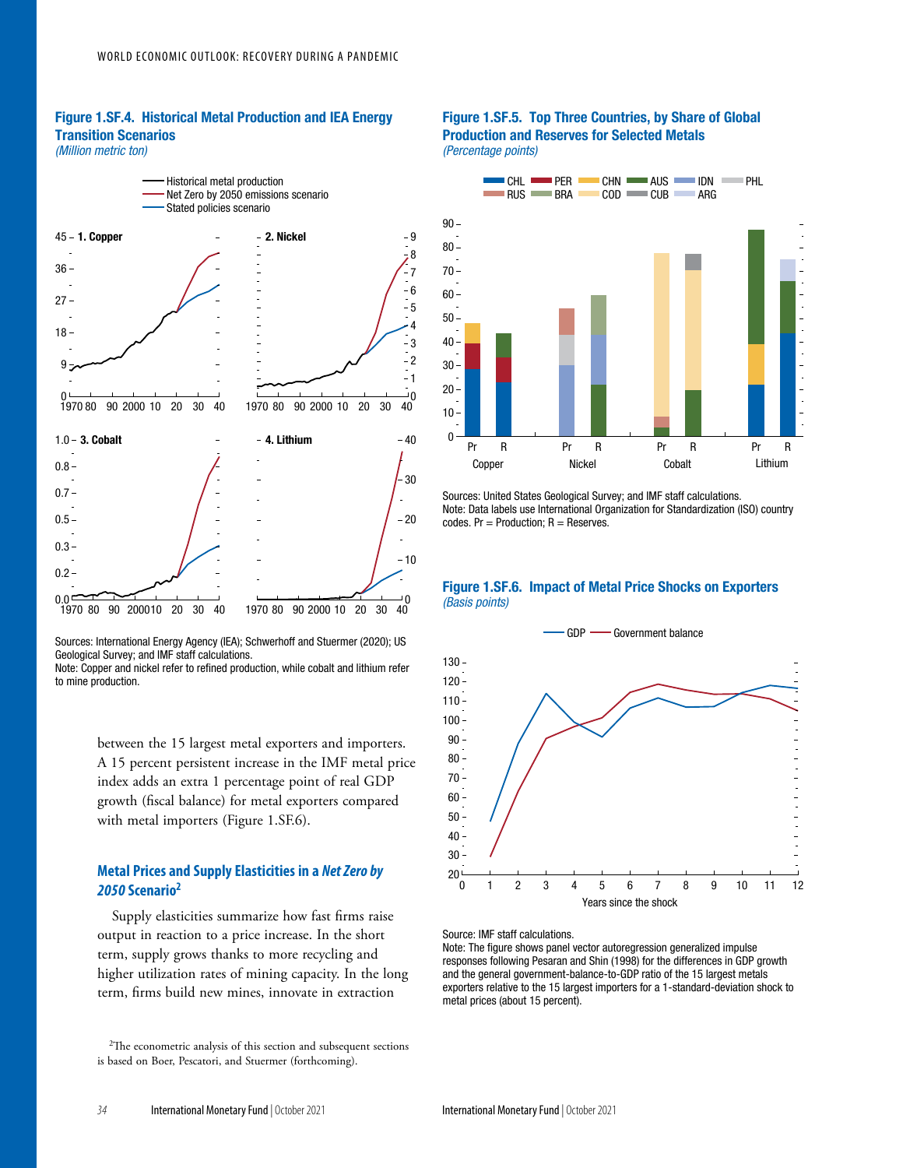# Figure 1.SF.4. Historical Metal Production and IEA Energy Transition Scenarios

*(Million metric ton)*



Sources: International Energy Agency (IEA); Schwerhoff and Stuermer (2020); US Geological Survey; and IMF staff calculations. Note: Copper and nickel refer to refined production, while cobalt and lithium refer

to mine production.

between the 15 largest metal exporters and importers. A 15 percent persistent increase in the IMF metal price index adds an extra 1 percentage point of real GDP growth (fiscal balance) for metal exporters compared with metal importers (Figure 1.SF.6).

# **Metal Prices and Supply Elasticities in a** *Net Zero by 2050* **Scenario2**

Supply elasticities summarize how fast firms raise output in reaction to a price increase. In the short term, supply grows thanks to more recycling and higher utilization rates of mining capacity. In the long term, firms build new mines, innovate in extraction

2The econometric analysis of this section and subsequent sections is based on Boer, Pescatori, and Stuermer (forthcoming).

### Figure 1.SF.5. Top Three Countries, by Share of Global Production and Reserves for Selected Metals *(Percentage points)*



Sources: United States Geological Survey; and IMF staff calculations. Note: Data labels use International Organization for Standardization (ISO) country codes.  $Pr = Production: R = Reserves.$ 

### Figure 1.SF.6. Impact of Metal Price Shocks on Exporters *(Basis points)*



Source: IMF staff calculations.

Note: The figure shows panel vector autoregression generalized impulse responses following Pesaran and Shin (1998) for the differences in GDP growth and the general government-balance-to-GDP ratio of the 15 largest metals exporters relative to the 15 largest importers for a 1-standard-deviation shock to metal prices (about 15 percent).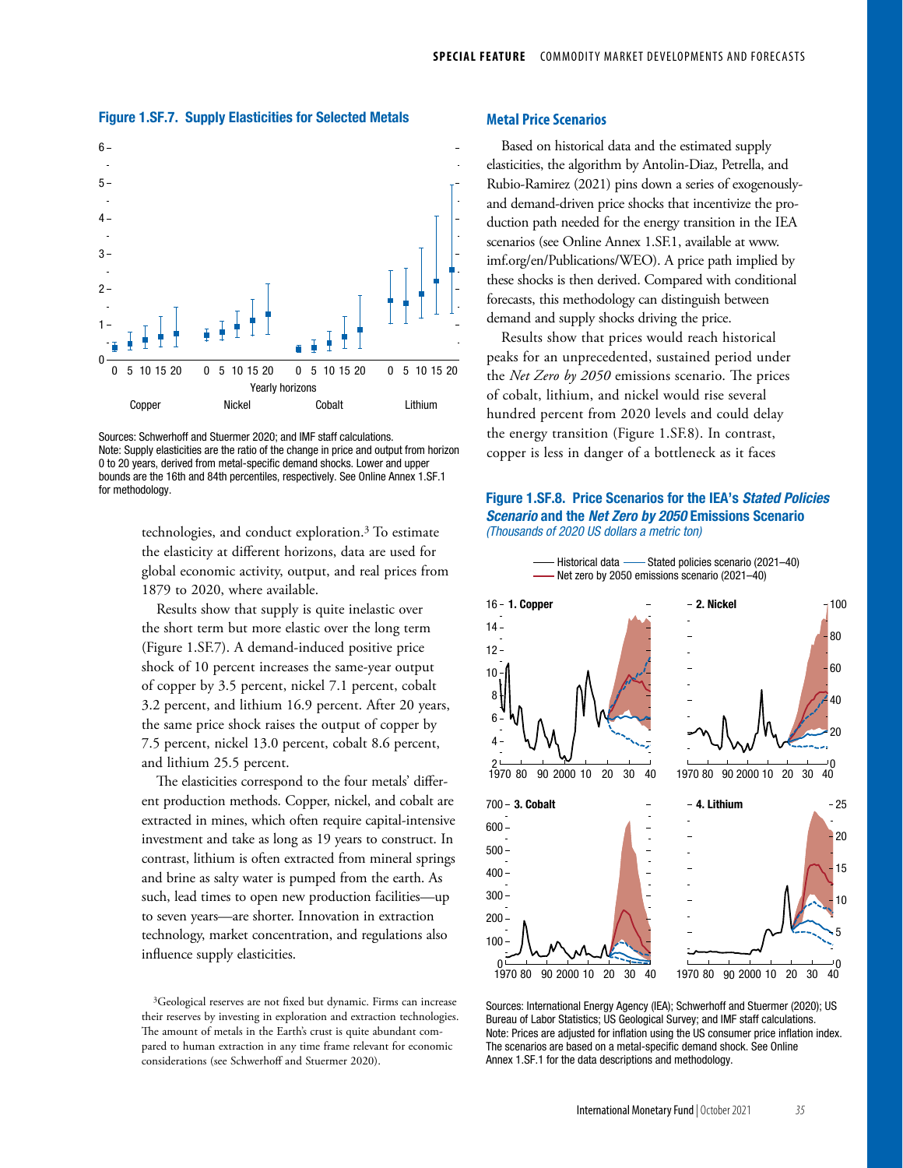

Figure 1.SF.7. Supply Elasticities for Selected Metals

Sources: Schwerhoff and Stuermer 2020; and IMF staff calculations. Note: Supply elasticities are the ratio of the change in price and output from horizon 0 to 20 years, derived from metal-specific demand shocks. Lower and upper bounds are the 16th and 84th percentiles, respectively. See Online Annex 1.SF.1 for methodology.

technologies, and conduct exploration.3 To estimate the elasticity at different horizons, data are used for global economic activity, output, and real prices from 1879 to 2020, where available.

Results show that supply is quite inelastic over the short term but more elastic over the long term (Figure 1.SF.7). A demand-induced positive price shock of 10 percent increases the same-year output of copper by 3.5 percent, nickel 7.1 percent, cobalt 3.2 percent, and lithium 16.9 percent. After 20 years, the same price shock raises the output of copper by 7.5 percent, nickel 13.0 percent, cobalt 8.6 percent, and lithium 25.5 percent.

The elasticities correspond to the four metals' different production methods. Copper, nickel, and cobalt are extracted in mines, which often require capital-intensive investment and take as long as 19 years to construct. In contrast, lithium is often extracted from mineral springs and brine as salty water is pumped from the earth. As such, lead times to open new production facilities—up to seven years—are shorter. Innovation in extraction technology, market concentration, and regulations also influence supply elasticities.

<sup>3</sup>Geological reserves are not fixed but dynamic. Firms can increase their reserves by investing in exploration and extraction technologies. The amount of metals in the Earth's crust is quite abundant compared to human extraction in any time frame relevant for economic considerations (see Schwerhoff and Stuermer 2020).

#### **Metal Price Scenarios**

Based on historical data and the estimated supply elasticities, the algorithm by Antolin-Diaz, Petrella, and Rubio-Ramirez (2021) pins down a series of exogenouslyand demand-driven price shocks that incentivize the production path needed for the energy transition in the IEA scenarios (see Online Annex 1.SF.1, available at www. imf.org/en/Publications/WEO). A price path implied by these shocks is then derived. Compared with conditional forecasts, this methodology can distinguish between demand and supply shocks driving the price.

Results show that prices would reach historical peaks for an unprecedented, sustained period under the *Net Zero by 2050* emissions scenario. The prices of cobalt, lithium, and nickel would rise several hundred percent from 2020 levels and could delay the energy transition (Figure 1.SF.8). In contrast, copper is less in danger of a bottleneck as it faces

### Figure 1.SF.8. Price Scenarios for the IEA's *Stated Policies Scenario* and the *Net Zero by 2050* Emissions Scenario *(Thousands of 2020 US dollars a metric ton)*

- Historical data - Stated policies scenario (2021–40) Net zero by 2050 emissions scenario (2021–40)



Sources: International Energy Agency (IEA); Schwerhoff and Stuermer (2020); US Bureau of Labor Statistics; US Geological Survey; and IMF staff calculations. Note: Prices are adjusted for inflation using the US consumer price inflation index. The scenarios are based on a metal-specific demand shock. See Online Annex 1.SF.1 for the data descriptions and methodology.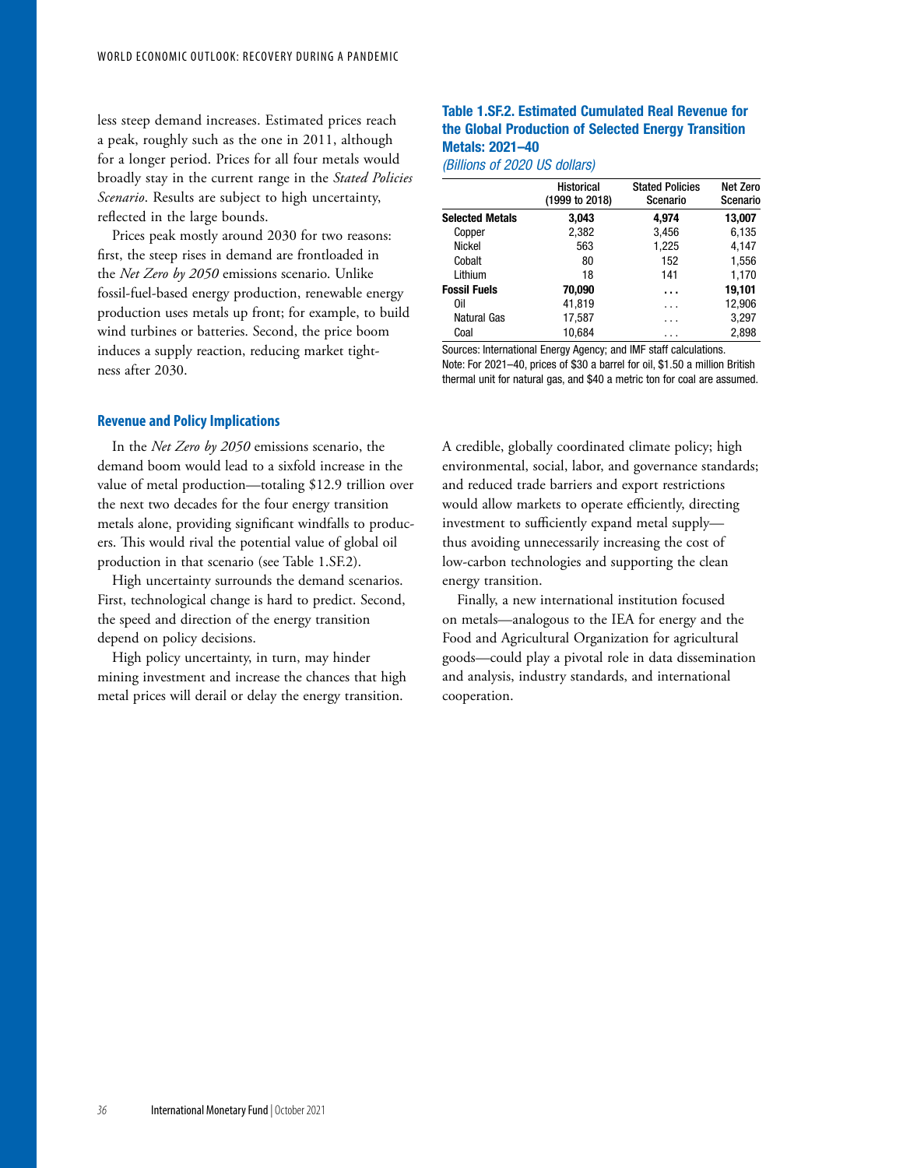less steep demand increases. Estimated prices reach a peak, roughly such as the one in 2011, although for a longer period. Prices for all four metals would broadly stay in the current range in the *Stated Policies Scenario*. Results are subject to high uncertainty, reflected in the large bounds.

Prices peak mostly around 2030 for two reasons: first, the steep rises in demand are frontloaded in the *Net Zero by 2050* emissions scenario. Unlike fossil-fuel-based energy production, renewable energy production uses metals up front; for example, to build wind turbines or batteries. Second, the price boom induces a supply reaction, reducing market tightness after 2030.

### **Revenue and Policy Implications**

In the *Net Zero by 2050* emissions scenario, the demand boom would lead to a sixfold increase in the value of metal production—totaling \$12.9 trillion over the next two decades for the four energy transition metals alone, providing significant windfalls to producers. This would rival the potential value of global oil production in that scenario (see Table 1.SF.2).

High uncertainty surrounds the demand scenarios. First, technological change is hard to predict. Second, the speed and direction of the energy transition depend on policy decisions.

High policy uncertainty, in turn, may hinder mining investment and increase the chances that high metal prices will derail or delay the energy transition.

### Table 1.SF.2. Estimated Cumulated Real Revenue for the Global Production of Selected Energy Transition Metals: 2021–40

*(Billions of 2020 US dollars)*

|                        | <b>Historical</b><br>(1999 to 2018) | <b>Stated Policies</b><br>Scenario | Net Zero<br>Scenario |
|------------------------|-------------------------------------|------------------------------------|----------------------|
| <b>Selected Metals</b> | 3.043                               | 4,974                              | 13,007               |
| Copper                 | 2,382                               | 3,456                              | 6,135                |
| Nickel                 | 563                                 | 1,225                              | 4,147                |
| Cobalt                 | 80                                  | 152                                | 1,556                |
| Lithium                | 18                                  | 141                                | 1,170                |
| <b>Fossil Fuels</b>    | 70,090                              | .                                  | 19,101               |
| Oil                    | 41,819                              | .                                  | 12,906               |
| Natural Gas            | 17,587                              | .                                  | 3,297                |
| Coal                   | 10,684                              | .                                  | 2,898                |

Sources: International Energy Agency; and IMF staff calculations. Note: For 2021–40, prices of \$30 a barrel for oil, \$1.50 a million British thermal unit for natural gas, and \$40 a metric ton for coal are assumed.

A credible, globally coordinated climate policy; high environmental, social, labor, and governance standards; and reduced trade barriers and export restrictions would allow markets to operate efficiently, directing investment to sufficiently expand metal supply thus avoiding unnecessarily increasing the cost of low-carbon technologies and supporting the clean energy transition.

Finally, a new international institution focused on metals—analogous to the IEA for energy and the Food and Agricultural Organization for agricultural goods—could play a pivotal role in data dissemination and analysis, industry standards, and international cooperation.